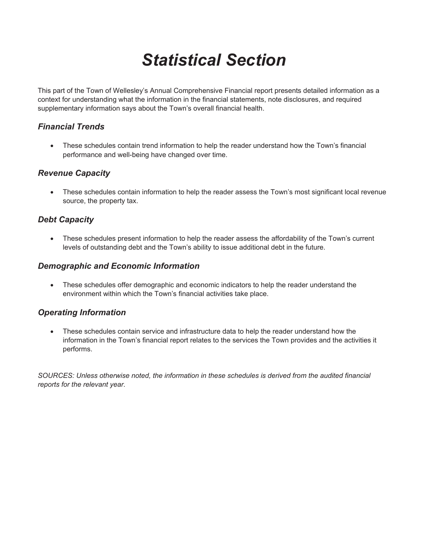# *Statistical Section*

This part of the Town of Wellesley's Annual Comprehensive Financial report presents detailed information as a context for understanding what the information in the financial statements, note disclosures, and required supplementary information says about the Town's overall financial health.

# *Financial Trends*

x These schedules contain trend information to help the reader understand how the Town's financial performance and well-being have changed over time.

# *Revenue Capacity*

• These schedules contain information to help the reader assess the Town's most significant local revenue source, the property tax.

# *Debt Capacity*

• These schedules present information to help the reader assess the affordability of the Town's current levels of outstanding debt and the Town's ability to issue additional debt in the future.

# *Demographic and Economic Information*

• These schedules offer demographic and economic indicators to help the reader understand the environment within which the Town's financial activities take place.

# *Operating Information*

These schedules contain service and infrastructure data to help the reader understand how the information in the Town's financial report relates to the services the Town provides and the activities it performs.

*SOURCES: Unless otherwise noted, the information in these schedules is derived from the audited financial reports for the relevant year.*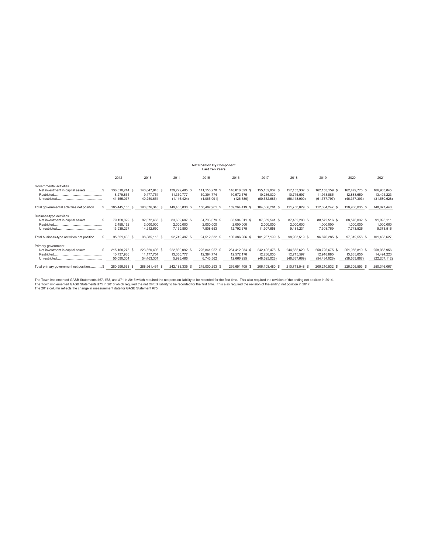#### **Net Position By Component**

|                                                                |                                              |                                              |                                               | <b>Last Ten Years</b>                         |                                            |                                                  |                                                  |                                                  |                                                |                                             |
|----------------------------------------------------------------|----------------------------------------------|----------------------------------------------|-----------------------------------------------|-----------------------------------------------|--------------------------------------------|--------------------------------------------------|--------------------------------------------------|--------------------------------------------------|------------------------------------------------|---------------------------------------------|
|                                                                | 2012                                         | 2013                                         | 2014                                          | 2015                                          | 2016                                       | 2017                                             | 2018                                             | 2019                                             | 2020                                           | 2021                                        |
| Governmental activities<br>Net investment in capital assets\$  | 136,010,244 \$<br>8.279.834<br>41,155,077    | 140,647,943 \$<br>9.177.754<br>40,250,651    | 139,229,485 \$<br>11,350,777<br>(1, 146, 424) | 141, 158, 278 \$<br>10,394,774<br>(1,065,091) | 148,818,623 \$<br>10,572,176<br>(126, 380) | 155, 132, 937 \$<br>10,236,030<br>(60, 532, 686) | 157, 153, 332 \$<br>10,715,597<br>(56, 118, 900) | 162, 153, 159 \$<br>11,918,885<br>(61, 737, 797) | 162,479,778 \$<br>12,883,650<br>(46, 377, 393) | 166,963,845<br>13,494,223<br>(31,580,628)   |
| Total governmental activities net position \$                  | 185,445,155                                  | 190,076,348<br>- 35                          | 149,433,838<br>S.                             | 150,487,961                                   | 159,264,419 \$                             | 104,836,281<br>s                                 | 111,750,029                                      | 112,334,247 \$                                   | 128,986,035<br>s                               | 148,877,440                                 |
| Business-type activities<br>Net investment in capital assets\$ | 79,158,029 \$<br>2,458,152<br>13,935,227     | 82,672,463 \$<br>2,000,000<br>14,212,650     | 83,609,607 \$<br>2,000,000<br>7,139,890       | 84,703,679 \$<br>2,000,000<br>7,808,653       | 85.594.311 \$<br>2,000,000<br>12,792,675   | 87.359.541 \$<br>2,000,000<br>11,907,658         | 87,482,288 \$<br>2,000,000<br>9,481,231          | 88,572,516 \$<br>1,000,000<br>7,303,769          | 88,576,032 \$<br>1,000,000<br>7,743,526        | 91,095,111<br>1,000,000<br>9,373,516        |
| Total business-type activities net position\$                  | 95,551,408 \$                                | 98.885.113<br>- 56                           | 92,749,497                                    | 94,512,332                                    | 100.386.986<br>-86                         | 101.267.199                                      | 98.963.519 \$                                    | 96.876.285<br>-S                                 | 97,319,558 \$                                  | 101,468,627                                 |
| Primary government<br>Net investment in capital assets\$       | 215, 168, 273 \$<br>10,737,986<br>55,090,304 | 223,320,406 \$<br>11, 177, 754<br>54,463,301 | 222,839,092 \$<br>13,350,777<br>5,993,466     | 225,861,957 \$<br>12,394,774<br>6,743,562     | 234,412,934 \$<br>12,572,176<br>12,666,295 | 242,492,478 \$<br>12,236,030<br>(48, 625, 028)   | 244,635,620 \$<br>12,715,597<br>(46,637,669)     | 250,725,675 \$<br>12,918,885<br>(54, 434, 028)   | 251,055,810 \$<br>13,883,650<br>(38,633,867)   | 258,058,956<br>14,494,223<br>(22, 207, 112) |
| Total primary government net position \$                       | 280,996,563                                  | 288,961,461                                  | 242, 183, 335                                 | 245,000,293                                   | 259,651,405 \$                             | 206,103,480 \$                                   | 210,713,548 \$                                   | 209,210,532 \$                                   | 226,305,593 \$                                 | 250,346,067                                 |

The Town implemented GASB Statements #67, #68, and #71 in 2015 which required the net pension liability to be recorded for the first time. This also required the revision of the ending net position in 2014.<br>The Town implem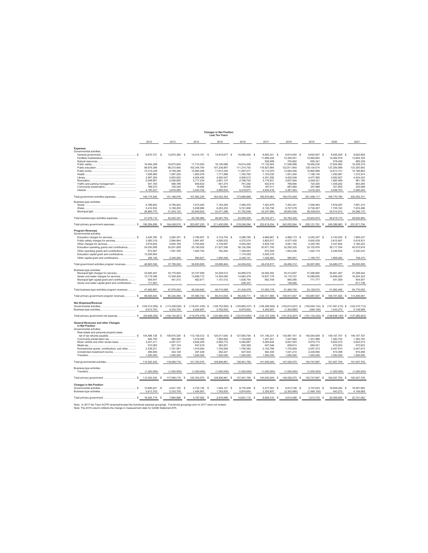|                                                                                   |                      |              |                      |              |                     |    | <b>Changes in Net Position</b><br><b>Last Ten Years</b> |    |                     |    |                         |    |                       |    |                       |    |                                |                       |
|-----------------------------------------------------------------------------------|----------------------|--------------|----------------------|--------------|---------------------|----|---------------------------------------------------------|----|---------------------|----|-------------------------|----|-----------------------|----|-----------------------|----|--------------------------------|-----------------------|
|                                                                                   | 2012                 |              | 2013                 |              | 2014                |    | 2015                                                    |    | 2016                |    | 2017                    |    | 2018                  |    | 2019                  |    | 2020                           | 2021                  |
| Expenses                                                                          |                      |              |                      |              |                     |    |                                                         |    |                     |    |                         |    |                       |    |                       |    |                                |                       |
| Governmental activities:                                                          |                      |              |                      |              |                     |    |                                                         |    |                     |    |                         |    |                       |    |                       |    |                                |                       |
|                                                                                   | 9.670.731 S          |              | 12,874,364 \$        |              | 14,414,151 \$       |    | 14,818,677 \$                                           |    | 16,065,450 \$       |    | 8 805 331 S             |    | 8,814,934 \$          |    | 9.652.907 S           |    | 9,555,250 \$                   | 9.652.808             |
| Facilities maintenance                                                            |                      |              |                      |              |                     |    |                                                         |    |                     |    | 11,880,224              |    | 12,350,521            |    | 13,992,663            |    | 12,484,919                     | 13,600,165            |
| Natural resources                                                                 | 16,064,398           |              | 16,973,654           |              | 17,710,263          |    | 18,190,686                                              |    | 19,814,209          |    | 636,909<br>17, 132, 944 |    | 725.662<br>17,548,998 |    | 650,341<br>19,494,235 |    | 578,406<br>17,824,882          | 685,339<br>16,528,319 |
|                                                                                   | 99,679,399           |              | 99,210,900           |              | 102,344,740         |    | 107,336,897                                             |    | 111,214,742         |    | 118,927,884             |    | 122,811,840           |    | 129,130,514           |    | 127,265,999                    | 133,350,063           |
|                                                                                   | 10,315,238           |              | 9,709,246            |              | 10,865,268          |    | 11,612,335                                              |    | 11.467.571          |    | 14.112.079              |    | 13.920.456            |    | 14.862.889            |    | 14 813 731                     | 15 186 863            |
|                                                                                   | 1,558,985            |              | 1,597,225            |              | 1,683,576           |    | 1,771,888                                               |    | 1,762,755           |    | 1,103,030               |    | 1,001,200             |    | 1,188,145             |    | 1,292,687                      | 1,372,574             |
|                                                                                   | 3,907,255            |              | 3,853,620            |              | 4,004,455           |    | 4,092,547                                               |    | 4,509,513           |    | 4,251,592               |    | 4.420.548             |    | 4,477,590             |    | 4.582.627                      | 4,424,423             |
|                                                                                   | 2,548,867            |              | 2,456,850            |              | 2.717.234           |    | 2,861,127                                               |    | 2.798.705           |    | 3.176.831               |    | 2,607,564             |    | 2,549,221             |    | 1.992.469                      | 981,190               |
| Traffic and parking management                                                    | 541,165              |              | 598,789              |              | 659,832             |    | 651,374                                                 |    | 761,292             |    | 832.610                 |    | 789.994               |    | 725,300               |    | 1,039,262                      | 663,265               |
| Community preservation                                                            | 789,270<br>4,100,237 |              | 105,345<br>3,816,585 |              | 19,992<br>3,442,724 |    | 35,941<br>3,080,832                                     |    | 75,855<br>5,219,877 |    | 187,011<br>4,830,418    |    | 687,669<br>4,391,453  |    | 357,988<br>4,416,324  |    | 331,855<br>4,008,703           | 240,468<br>5,365,244  |
| Total government activities expenses                                              | 149, 175, 545        |              | 151,196,578          |              | 157,862,235         |    | 164,452,304                                             |    | 173,689,969         |    | 185,876,863             |    | 190,070,839           |    | 201,498,117           |    | 195,770,790                    | 202,050,721           |
|                                                                                   |                      |              |                      |              |                     |    |                                                         |    |                     |    |                         |    |                       |    |                       |    |                                |                       |
| Business-type activities:<br>Sewer                                                | 6.798.842            |              | 6.799.922            |              | 7.010.402           |    | 7.183.205                                               |    | 7.065.470           |    | 7.403.979               |    | 7.452.341             |    | 7.548.483             |    | 7.879.097                      | 7.691.315             |
| Water                                                                             | 5,414,502            |              | 5,189,293            |              | 5,938,980           |    | 6,293,253                                               |    | 5,741,906           |    | 6,100,706               |    | 6,707,078             |    | 6,736,557             |    | 7,725,163                      | 7,633,496             |
| Municipal light                                                                   | 28,865,770           |              | 31,253,122           |              | 32,845,603          |    | 33,471,296                                              |    | 31,752,049          |    | 33,237,686              |    | 38,605,006            |    | 39,338,634            |    | 34,014,913                     | 34,296,172            |
| Total business-type activities expenses.                                          | 41,079,114           |              | 43,242,337           |              | 45,794,985          |    | 46, 947, 754                                            |    | 44,559,425          |    | 46,742,371              |    | 52,764,425            |    | 53,623,674            |    | 49,619,173                     | 49,620,983            |
| Total primary government expenses.                                                | 190,254,659          |              | 194,438,915          |              | 203,657,220         |    | 211,400,058                                             |    | 218,249,394         |    | 232,619,234             |    | 242,835,264           | S. | 255, 121, 791         | s  | 245,389,963<br>-S              | 251,671,704           |
|                                                                                   |                      |              |                      |              |                     |    |                                                         |    |                     |    |                         |    |                       |    |                       |    |                                |                       |
| <b>Program Revenues</b><br>Governmental activities:                               |                      |              |                      |              |                     |    |                                                         |    |                     |    |                         |    |                       |    |                       |    |                                |                       |
|                                                                                   | 3,445,765 \$         |              | 3,284,351 \$         |              | 3,780,607 \$        |    | 4, 133, 754 \$                                          |    | 4,588,795 \$        |    | 4,868,667 \$            |    | 4,968,173 \$          |    | 5,242,307 \$          |    | 4,102,835 \$                   | 1.894.437             |
| Public safety charges for services                                                | 3,083,319            |              | 2,894,844            |              | 3,991,467           |    | 4,095,532                                               |    | 4,272,574           |    | 3,852,917               |    | 6,577,435             |    | 5,600,029             |    | 3,815,847                      | 5,618,531             |
|                                                                                   | 3.816.824            |              | 3,640,168            |              | 3.793.602           |    | 3.739.997                                               |    | 4.044.264           |    | 4,804,745               |    | 4,061,182             |    | 4,249,760             |    | 3,337,844                      | 3,160,222             |
| Education operating grants and contributions                                      | 24,030,559           |              | 24,201,659           |              | 25, 190, 552        |    | 21,027,295                                              |    | 26,120,256          |    | 30,971,700              |    | 32,205,325            |    | 33,102,976            |    | 38, 117, 534                   | 45,910,916            |
| Other operating grants and contributions                                          | 973,067              |              | 1,391,765            |              | 1,083,745           |    | 752,440                                                 |    | 1,358,563           |    | 872,209                 |    | 1,063,246             |    | 1,493,174             |    | 3,346,835                      | 2,302,433             |
| Education capital grant and contributions                                         | 13,255,854           |              |                      |              |                     |    |                                                         |    | 1,174,029           |    | 3,020,319               |    |                       |    |                       |    |                                |                       |
| Other capital grant and contributions                                             | 258,148              |              | 2,345,265            |              | 990,827             |    | 1,950,446                                               |    | 2,446,151           |    | 1,028,260               |    | 580,951               |    | 1,169,737             |    | 1,968,482                      | 748,470               |
| Total government activities program revenues                                      | 48.863.536           |              | 37,758,052           |              | 38,830,800          |    | 35,699,464                                              |    | 44,004,632          |    | 49,418,817              |    | 49,456,312            |    | 50,857,983            |    | 54,689,377                     | 59.635.009            |
| Business-type activities:                                                         |                      |              |                      |              |                     |    |                                                         |    |                     |    |                         |    |                       |    |                       |    |                                |                       |
| Municipal light charges for services                                              | 33,845,457           |              | 33,775,820           |              | 33,747,559          |    | 34,209,512                                              |    | 34,885,519          |    | 34,592,292              |    | 35,313,607            |    | 37,268,992            |    | 35,661,467                     | 37,299,444            |
| Sewer and water charges for services                                              | 13,179,396           |              | 13,359,209           |              | 13,899,712          |    | 14,350,065                                              |    | 14,683,479          |    | 15,837,178              |    | 15,119,727            |    | 15,088,805            |    | 14.859.420                     | 16.204.322            |
| Municipal light capital grant and contributions                                   | 550,447              |              | 441,013              |              | 602,671             |    | 1,151,012                                               |    | 1,636,744           |    | 663,708                 |    | 880,585               |    | 771,777               |    | 541,559                        | 454,547               |
| Sewer and water capital grant and contributions                                   | 117,567              |              |                      |              |                     |    |                                                         |    | 228,337             |    |                         |    | 146,826               |    |                       |    |                                | 811,739               |
| Total business-type activities program revenues                                   | 47,692,867           |              | 47,576,042           |              | 48,249,942          |    | 49,710,589                                              |    | 51,434,079          |    | 51,093,178              |    | 51,460,745            |    | 53, 129, 574          |    | 51,062,446                     | 54,770,052            |
| Total primary government program revenues                                         | 96,556,403           |              | 85,334,094           |              | 87,080,742          |    | 85,410,053                                              |    | 95,438,711          |    | 100,511,995             | s  | 100,917,057           | S. | 103,987,557           | s  | 105,751,823<br>-S              | 114,405,061           |
| Net (Expense)/Revenue                                                             |                      |              |                      |              |                     |    |                                                         |    |                     |    |                         |    |                       |    |                       |    |                                |                       |
| Governmental activities.                                                          | (100, 312, 009)      | s            | (113, 438, 526)      | s            | (119, 031, 435)     | s  | $(128, 752, 840)$ \$                                    |    | (129, 685, 337)     | s  | (136, 458, 046)         | s  | (140, 614, 527)       | s  | $(150, 640, 134)$ \$  |    | (141,081,413) \$ (142,415,712) |                       |
| Business-type activities                                                          | 6,613,753            |              | 4,333,705            |              | 2,454,957           |    | 2,762,835                                               |    | 6,874,654           |    | 4,350,807               |    | (1,303,680)           |    | (494, 100)            |    | 1,443,273                      | 5,149,069             |
| Total primary government net expense<br>s                                         | (93, 698, 256)       | s            | $(109, 104, 821)$ \$ |              | (116, 576, 478)     | -S | $(125,990,005)$ \$                                      |    | (122, 810, 683)     | -S | $(132, 107, 239)$ \$    |    | $(141, 918, 207)$ \$  |    | $(151, 134, 234)$ \$  |    | $(139, 638, 140)$ \$           | (137, 266, 643)       |
| General Revenues and other Changes<br>in Net Position<br>Governmental activities: |                      |              |                      |              |                     |    |                                                         |    |                     |    |                         |    |                       |    |                       |    |                                |                       |
| Real estate and personal property taxes,                                          |                      |              |                      |              |                     |    |                                                         |    |                     |    |                         |    |                       |    |                       |    |                                |                       |
|                                                                                   | 104,498,139          | <sub>S</sub> | 108,975,300          | $\mathbf{s}$ | 112,155,012 \$      |    | 120,017,005 \$                                          |    | 127,800,794         | -S | 131,146,331 \$          |    | 135,997,161 \$        |    | 140,554,509           | s  | 149, 157, 707 \$               | 149 157 707           |
| Community preservation tax                                                        | 944,740              |              | 982,069              |              | 1,019,365           |    | 1,084,562                                               |    | 1,153,629           |    | 1.201.441               |    | 1.247.964             |    | 1.301.988             |    | 1,383,742                      | 1,383,742             |
| Motor vehicle and other excise taxes                                              | 4,241,411            |              | 4,481,517            |              | 4,824,229           |    | 5,065,773                                               |    | 5,464,687           |    | 5,265,624               |    | 5,847,263             |    | 5,919,710             |    | 5,622,515                      | 5,622,515             |
|                                                                                   | 510,083              |              | 527,124              |              | 547,618             |    | 583,551                                                 |    | 620,369             |    | 637,046                 |    | 658,814               |    | 684,631               |    | 470,833                        | 470,833               |
| Nonrestricted grants, contributions, and other                                    | 2.338.231            |              | 1,761,581            |              | 1.919.920           |    | 1.793.829                                               |    | 1,794,382           |    | 2,102,798               |    | 1,735,859             |    | 2,057,273             |    | 2,457,810                      | 2.457.810             |
| Unrestricted investment income                                                    | 469,826              |              | 342,128              |              | 297,426             |    | 262,241                                                 |    | 627,934             |    | 582,309                 |    | 1,041,214             |    | 2,229,856             |    | 915,098                        | 915,098               |
|                                                                                   | 1,000,000            |              | 1,000,000            |              | 1,000,000           |    | 1,000,000                                               |    | 1,000,000           |    | 1,000,000               |    | 1,000,000             |    | 1,000,000             |    | 1,000,000                      | 1.000.000             |
| Total governmental activities.                                                    | 114,002,430          |              | 118,069,719          |              | 121,763,570         |    | 129,806,961                                             |    | 138,461,795         |    | 141,935,549             |    | 147,528,275           |    | 153,747,967           |    | 161,007,705                    | 161,007,705           |
| Business-type activities:                                                         |                      |              |                      |              |                     |    |                                                         |    |                     |    |                         |    |                       |    |                       |    |                                |                       |
| Transfers                                                                         | (1.000.000)          |              | (1,000,000)          |              | (1,000,000)         |    | (1,000,000)                                             |    | (1,000,000)         |    | (1,000,000)             |    | (1,000,000)           |    | (1,000,000)           |    | (1,000,000)                    | (1,000,000)           |
| Total primary government                                                          | 113,002.430 S        |              | 117.069.719          | s            | 120.763.570         | -S | 128.806.961                                             | S. | 137.461.795         | -S | 140.935.549             | -S | 146.528.275 \$        |    | 152.747.967           | -S | 160.007.705 \$                 | 160.007.705           |
| <b>Changes in Net Position</b>                                                    |                      |              |                      |              |                     |    |                                                         |    |                     |    |                         |    |                       |    |                       |    |                                |                       |
| Governmental activities.                                                          | 13.690.421           | s            | 4.631.193            | s            | 2.732.135           |    | 1.054.121 \$                                            |    | 8,776,458           | -S | 5,477,503 \$            |    | 6,913,748 \$          |    | 3,107,833             | s  | 19,926,292<br>-S               | 18,591,993            |
| Business-type activities                                                          | 5,613,753            |              | 3,333,705            |              | 1,454,957           |    | 1,762,835                                               |    | 5,874,654           |    | 3,350,807               |    | (2,303,680)           |    | (1,494,100)           |    | 443,273                        | 4,149,069             |
| Total primary government                                                          | 19,304,174 \$        |              | 7,964,898 \$         |              | 4,187,092 \$        |    | 2,816,956 \$                                            |    | 14,651,112 \$       |    | 8,828,310 \$            |    | 4,610,068 \$          |    | 1,613,733 \$          |    | 20,369,565 \$                  | 22,741,062            |

Note: In 2017 the Town ACFR renamed/revised the functional expense groupings. Functional groupings prior to 2017 were not revised.<br>Note: The 2019 column reflects the change in measurement date for GASB Statement #75.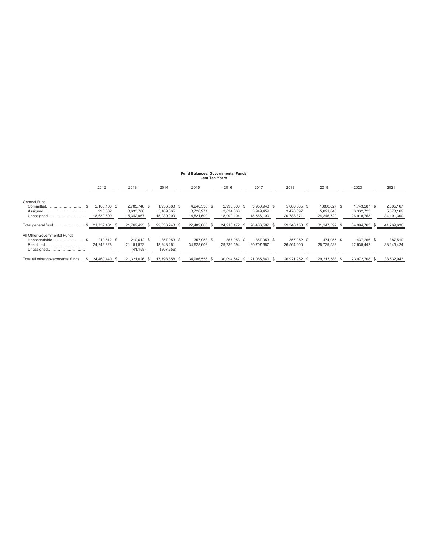### **Fund Balances, Governmental Funds Last Ten Years**

|                                                                            | 2012                                  | 2013                                    | 2014                                    | 2015                                    | 2016                                    | 2017                                    | 2018                                    | 2019                                    | 2020                                    | 2021                                 |
|----------------------------------------------------------------------------|---------------------------------------|-----------------------------------------|-----------------------------------------|-----------------------------------------|-----------------------------------------|-----------------------------------------|-----------------------------------------|-----------------------------------------|-----------------------------------------|--------------------------------------|
| General Fund                                                               |                                       |                                         |                                         |                                         |                                         |                                         |                                         |                                         |                                         |                                      |
| Committed.<br>Assigned<br>Unassigned                                       | 2.106.100 \$<br>993.682<br>18,632,699 | 2.785.748 \$<br>3.633.780<br>15,342,967 | 1.936.883 \$<br>5.169.365<br>15,230,000 | 4.240.335 \$<br>3.726.971<br>14,521,699 | 2.990.300 \$<br>3.834.068<br>18,092,104 | 3,950,943 \$<br>5.949.459<br>18,566,100 | 5.080.885 \$<br>3.478.397<br>20,788,871 | 1.880.827 \$<br>5.021.045<br>24,245,720 | 1.743.287 \$<br>6.332.723<br>26,918,753 | 2,005,167<br>5,573,169<br>34,191,300 |
| Total general fund                                                         | $$21,732,481$ \$                      | 21,762,495 \$                           | 22,336,248 \$                           | 22.489.005 \$                           | 24.916.472 \$                           | 28,466,502 \$                           | 29,348,153 \$                           | 31, 147, 592 \$                         | 34,994,763 \$                           | 41,769,636                           |
| All Other Governmental Funds<br>Nonspendable\$<br>Restricted<br>Unassigned | 210.612 \$<br>24.249.828              | 210.612 \$<br>21.151.572<br>(41, 158)   | 357.953 \$<br>18.248.261<br>(807, 356)  | 357.953 \$<br>34.628.603                | 357.953 \$<br>29.736.594                | 357.953 \$<br>20.707.687                | 357.952 \$<br>26.564.000                | 474.055 \$<br>28.739.533                | 437.266 \$<br>22.635.442                | 387,519<br>33,145,424                |
| Total all other governmental funds \$                                      | 24,460,440 \$                         | 21,321,026                              | 17,798,858                              | 34,986,556<br>-SS                       | 30.094.547<br>- \$                      | 21.065.640 \$                           | 26,921,952 \$                           | 29,213,588<br>-8                        | 23,072,708 \$                           | 33,532,943                           |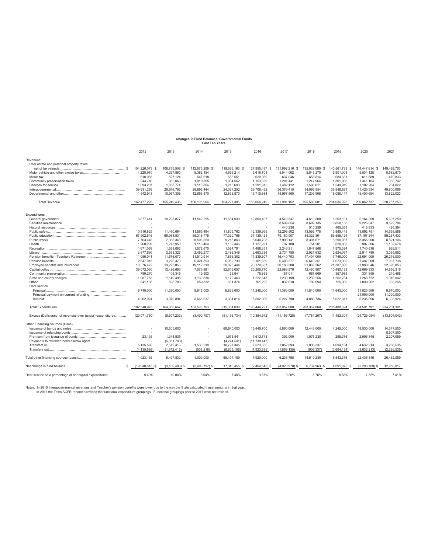### **Changes in Fund Balances, Governmental Funds Last Ten Years**

|                                                           | 2012              | 2013               | 2014             | 2015             | 2016             | 2017             | 2018           | 2019           | 2020               | 2021          |
|-----------------------------------------------------------|-------------------|--------------------|------------------|------------------|------------------|------------------|----------------|----------------|--------------------|---------------|
| Revenues:                                                 |                   |                    |                  |                  |                  |                  |                |                |                    |               |
| Real estate and personal property taxes,                  |                   |                    |                  |                  |                  |                  |                |                |                    |               |
|                                                           | 104,226,073 \$    | 108,739,508 \$     | 112,573,209 \$   | 119,526,163<br>S | 127,955,497<br>s | 131,692,216 \$   | 135,032,080 \$ | 140,561,739 \$ | 144.447.614 \$     | 149,493,703   |
|                                                           | 4.228.910         | 4,327,860          | 5,382,154        | 4,956,214        | 5.616.703        | 5,544,062        | 5,843,270      | 5.901.008      | 5,534,128          | 5,582,870     |
|                                                           | 510.083           | 527.124            | 547.618          | 583.551          | 620.369          | 637.046          | 658.814        | 684.631        | 611.589            | 470.833       |
|                                                           | 944.740           | 982,069            | 1,019,365        | 1,084,562        | 1,153,629        | 1,201,441        | 1,247,964      | 1,301,988      | 1.341.104          | 1,383,742     |
|                                                           | 1.093.207         | 1.058.774          | 1.118.806        | 1.215.693        | 1.291.915        | 1.482.112        | 1.503.011      | 1.549.919      |                    | 204.022       |
|                                                           |                   |                    |                  |                  |                  |                  |                |                | 1,102,284          |               |
|                                                           | 39,931,269        | 28,646,792         | 26,896,444       | 24,027,252       | 29,706,452       | 36,376,415       | 34,095,554     | 35,948,591     | 41,425,334         | 49,800,066    |
|                                                           | 11,542,943        | 10,967,308         | 12,658,370       | 12,833,870       | 16,715,684       | 14,967,860       | 17,205,908     | 18,088,147     | 15,400,684         | 13,822,023    |
|                                                           | 162,477,225       | 155,249,435        | 160,195,966      | 164,227,305      | 183,060,249      | 191,901,152      | 195,586,601    | 204,036,023    | 209,862,737        | 220,757,259   |
| Expenditures:                                             |                   |                    |                  |                  |                  |                  |                |                |                    |               |
|                                                           | 6.877.414         | 10.298.877         | 11,542,295       | 11.684.930       | 12.860.407       | 4.540.347        | 4.610.308      | 5.263.101      | 5.164.269          | 5.697.250     |
|                                                           |                   |                    |                  |                  |                  |                  |                |                |                    |               |
|                                                           |                   |                    |                  |                  |                  | 8.539.854        | 8.692.135      | 9.858.158      | 9.226.047          | 9.522.784     |
|                                                           |                   |                    |                  |                  |                  | 440,230          | 510,259        | 465,353        | 415,933            | 495,394       |
|                                                           | 10,816,829        | 11,460,664         | 11,565,484       | 11,805,762       | 12,339,995       | 12,296,502       | 13,592,778     | 13,889,443     | 13,892,751         | 14,668,588    |
|                                                           | 67,902,646        | 66,984,931         | 69,318,778       | 77,020,768       | 77,139,421       | 79,160,007       | 84,322,361     | 86,595,124     | 87, 167, 344       | 89,267,433    |
|                                                           | 7.763.448         | 7.088.348          | 8,503,550        | 9,215,863        | 8.640.708        | 7.909.141        | 8,301,071      | 8.290.037      | 8.355.908          | 8,821,106     |
|                                                           | 1,268,209         | 1,273,950          | 1,116,404        | 1,182,446        | 1,127,921        | 707.180          | 754,201        | 828.863        | 997.006            | 1,162,678     |
|                                                           | 1.671.069         | 1.558.082          | 1,572,670        | 1,584,791        | 1.488.351        | 2.246.211        | 1.847.868      | 1.975.394      | 1.740.630          | 929.511       |
|                                                           | 2,677,590         | 2,533,327          | 2,452,277        | 2,486,348        | 2,663,336        | 2,734,755        | 2,921,632      | 2,624,097      | 2,911,780          | 3,035,952     |
|                                                           | 11.056.041        | 11,576,070         | 11,910,914       | 7,856,302        | 11.839.507       | 16.440.703       | 17,404,000     | 17.746.000     | 22.691.000         | 26.216.000    |
|                                                           | 2.647.015         | 3.226.373          | 5.024.893        | 5.952.739        | 6.161.639        | 6.408.377        | 6.640.351      | 7.073.362      | 7.487.909          | 7.967.738     |
|                                                           | 18,376,472        | 19,223,856         | 19,112,319       | 20,025,444       | 20,170,637       | 20,188,388       | 21,869,262     | 21,387,830     | 21,980,846         | 22,326,853    |
|                                                           | 35,072,030        | 12,426,663         | 7,076,881        | 52,519,057       | 20,205,770       | 22,588,576       | 12,460,987     | 10,480,193     | 12,669,833         | 14,656,315    |
|                                                           | 789,270           | 105,345            | 19,993           | 35,941           | 75.855           | 187.011          | 687.669        | 357.988        | 331.855            | 240,468       |
|                                                           | 1,087,753         | 1,140,498          | 1,139,836        | 1,172,460        | 1,222,643        | 1,230,199        | 1,239,256      | 1,262,764      | 1,263,722          | 1,316,042     |
|                                                           | 541.165           | 598.789            | 659.832          | 651.374          | 761.292          | 832.610          | 789.994        | 725.300        | 1.039.262          | 663.265       |
|                                                           |                   |                    |                  |                  |                  |                  |                |                |                    |               |
|                                                           | 9,740,000         | 11,390,000         | 8,915,000        | 8,825,000        | 11,245,000       | 11,380,000       | 11,840,000     | 11.643.000     | 11,020,000         | 9.970.000     |
|                                                           |                   |                    |                  |                  |                  |                  |                |                | 21,000,000         | 11,000,000    |
|                                                           | 4,262,024         |                    |                  |                  | 5,502,309        | 5,227,790        |                |                |                    |               |
|                                                           |                   | 3,970,894          | 3,665,637        | 3,364,814        |                  |                  | 4,883,736      | 5,022,317      | 5,235,696          | 6,303,924     |
|                                                           | 182.548.975       | 164.856.667        | 163,596,763      | 215,384,039      | 193,444,791      | 203,057,880      | 203,367,868    | 205.488.324    | 234,591,791        | 234,261,301   |
| Excess (Deficiency) of revenues over (under) expenditures | (20.071.750)      | (9,607,232)        | (3.400.797)      | (51.156.734)     | (10, 384, 542)   | (11.156.728)     | (7.781.267)    | (1.452.301)    | (24.729.054)       | (13,504,042)  |
| Other Financing Sources (Uses)                            |                   |                    |                  |                  |                  |                  |                |                |                    |               |
|                                                           |                   | 10,505,000         |                  | 68,840,000       | 15,445,700       | 5,860,000        | 12,443,000     | 4,245,000      | 18,530,000         | 14,347,500    |
|                                                           |                   |                    |                  |                  |                  |                  |                |                |                    | 8,907,500     |
|                                                           | 23,135            | 1,344,535          |                  | 1,973,541        | 1,612,743        | 392,000          | 1,076,230      | 298,376        | 2,905,345          | 2,207,059     |
|                                                           |                   | (6,351,703)        |                  | (4, 274, 541)    | (11, 738, 443)   |                  |                |                |                    |               |
|                                                           | 5,135,568         | 2,512,416          | 1,538,218        | 10,797,345       | 7,523,635        | 1,852,893        | 1,906,337      | 4,694,134      | 4,632,213          | 3,286,535     |
|                                                           | (4, 135, 568)     | (1,512,416)        | (538, 218)       | (8,839,156)      | (4,923,635)      | (1,869,135)      | (906, 337)     | (3,694,134)    | (3,632,213)        | (2, 286, 535) |
|                                                           | 1,023,135         | 6,497,832          | 1,000,000        | 68,497,189       | 7,920,000        | 6,235,758        | 14,519,230     | 5,543,376      | 22,435,345         | 26,462,059    |
|                                                           | $(19,048,615)$ \$ | $(3, 109, 400)$ \$ | $(2,400,797)$ \$ | 17,340,455 \$    | $(2,464,542)$ \$ | $(4,920,970)$ \$ | 6,737,963 \$   | 4,091,075 \$   | $(2, 293, 709)$ \$ | 12.958.017    |
| Debt service as a percentage of noncapital expenditures   | 9.49%             | 10.08%             | 8.04%            | 7.48%            | 9.67%            | 9.20%            | 8.76%          | 8.55%          | 7.32%              | 7.41%         |

Notes: In 2015 Intergovernmental revenues and Teacher's pension benefits were lower due to the way the State calculated these amounts in that year.<br>In 2017 the Town ACFR renamed/revised the functional expenditure groupings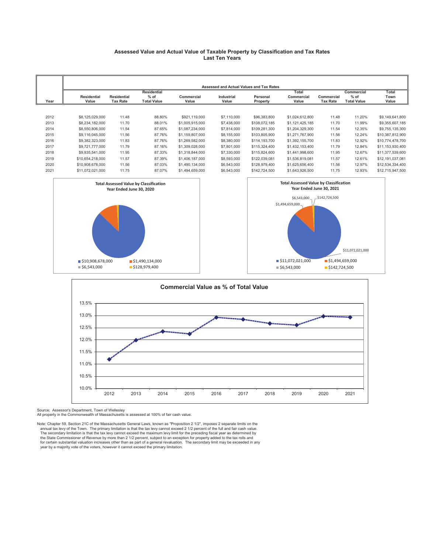#### **Assessed Value and Actual Value of Taxable Property by Classification and Tax Rates Last Ten Years**

|      |                             |                                       |                              |                            |                     | Assessed and Actual Values and Tax Rates |                     |                               |                              |                  |
|------|-----------------------------|---------------------------------------|------------------------------|----------------------------|---------------------|------------------------------------------|---------------------|-------------------------------|------------------------------|------------------|
|      |                             |                                       | <b>Residential</b>           |                            |                     |                                          | Total               |                               | Commercial                   | Total            |
| Year | <b>Residential</b><br>Value | <b>Residential</b><br><b>Tax Rate</b> | $%$ of<br><b>Total Value</b> | <b>Commercial</b><br>Value | Industrial<br>Value | Personal<br>Property                     | Commercial<br>Value | Commercial<br><b>Tax Rate</b> | $%$ of<br><b>Total Value</b> | Town<br>Value    |
|      |                             |                                       |                              |                            |                     |                                          |                     |                               |                              |                  |
| 2012 | \$8,125,029,000             | 11.48                                 | 88.80%                       | \$921,119,000              | \$7,110,000         | \$96,383,800                             | \$1,024,612,800     | 11.48                         | 11.20%                       | \$9,149,641,800  |
| 2013 | \$8,234,182,000             | 11.70                                 | 88.01%                       | \$1,005,915,000            | \$7,438,000         | \$108,072,185                            | \$1,121,425,185     | 11.70                         | 11.99%                       | \$9,355,607,185  |
| 2014 | \$8,550,806,000             | 11.54                                 | 87.65%                       | \$1,087,234,000            | \$7,814,000         | \$109,281,300                            | \$1,204,329,300     | 11.54                         | 12.35%                       | \$9,755,135,300  |
| 2015 | \$9,116,045,000             | 11.56                                 | 87.76%                       | \$1,159,807,000            | \$8,155,000         | \$103,805,900                            | \$1,271,767,900     | 11.56                         | 12.24%                       | \$10,387,812,900 |
| 2016 | \$9,382,323,000             | 11.83                                 | 87.76%                       | \$1,269,582,000            | \$8,380,000         | \$114,193,700                            | \$1,392,155,700     | 11.83                         | 12.92%                       | \$10,774,478,700 |
| 2017 | \$9,721,777,000             | 11.79                                 | 87.16%                       | \$1,309,028,000            | \$7,801,000         | \$115,324,400                            | \$1,432,153,400     | 11.79                         | 12.84%                       | \$11,153,930,400 |
| 2018 | \$9,935,541,000             | 11.95                                 | 87.33%                       | \$1,318,844,000            | \$7,330,000         | \$115,824,600                            | \$1,441,998,600     | 11.95                         | 12.67%                       | \$11,377,539,600 |
| 2019 | \$10,654,218,000            | 11.57                                 | 87.39%                       | \$1,406,187,000            | \$8,593,000         | \$122,039,081                            | \$1,536,819,081     | 11.57                         | 12.61%                       | \$12,191,037,081 |
| 2020 | \$10,908,678,000            | 11.56                                 | 87.03%                       | \$1,490,134,000            | \$6,543,000         | \$128,979,400                            | \$1,625,656,400     | 11.56                         | 12.97%                       | \$12,534,334,400 |
| 2021 | \$11,072,021,000            | 11.75                                 | 87.07%                       | \$1,494,659,000            | \$6,543,000         | \$142,724,500                            | \$1,643,926,500     | 11.75                         | 12.93%                       | \$12,715,947,500 |





Source: Assessor's Department, Town of Wellesley All property in the Commonwealth of Massachusetts is assessed at 100% of fair cash value.

Note: Chapter 59, Section 21C of the Massachusetts General Laws, known as "Proposition 2 1/2", imposes 2 separate limits on the annual tax levy of the Town. The primary limitation is that the tax levy cannot exceed 2 1/2 percent of the full and fair cash value.<br>The secondary limitation is that the tax levy cannot exceed the maximum levy limit for t the State Commissioner of Revenue by more than 2 1/2 percent, subject to an exception for property added to the tax rolls and<br>for certain substantial valuation increases other than as part of a general revaluation. The sec year by a majority vote of the voters, however it cannot exceed the primary limitation.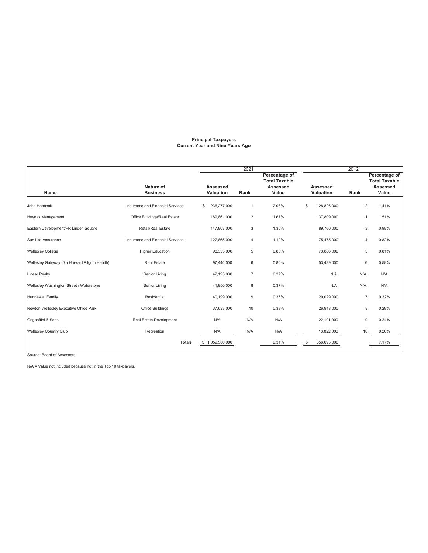#### **Principal Taxpayers Current Year and Nine Years Ago**

|                                                |                                  | 2021                  |                |                                                            |                       | 2012           |                                                                   |
|------------------------------------------------|----------------------------------|-----------------------|----------------|------------------------------------------------------------|-----------------------|----------------|-------------------------------------------------------------------|
| Name                                           | Nature of<br><b>Business</b>     | Assessed<br>Valuation | Rank           | Percentage of<br><b>Total Taxable</b><br>Assessed<br>Value | Assessed<br>Valuation | Rank           | Percentage of<br><b>Total Taxable</b><br><b>Assessed</b><br>Value |
| John Hancock                                   | Insurance and Financial Services | 236,277,000<br>\$     | $\mathbf{1}$   | 2.08%                                                      | \$<br>128,826,000     |                | 2<br>1.41%                                                        |
| Haynes Management                              | Office Buildings/Real Estate     | 189,861,000           | $\overline{c}$ | 1.67%                                                      | 137,809,000           | 1              | 1.51%                                                             |
| Eastern Development/FR Linden Square           | Retail/Real Estate               | 147,803,000           | 3              | 1.30%                                                      | 89,760,000            |                | 3<br>0.98%                                                        |
| Sun Life Assurance                             | Insurance and Financial Services | 127,865,000           | 4              | 1.12%                                                      | 75,475,000            | 4              | 0.82%                                                             |
| <b>Wellesley College</b>                       | <b>Higher Education</b>          | 98,333,000            | 5              | 0.86%                                                      | 73,886,000            |                | 0.81%<br>5                                                        |
| Wellesley Gateway (fka Harvard Pilgrim Health) | <b>Real Estate</b>               | 97,444,000            | 6              | 0.86%                                                      | 53,439,000            | 6              | 0.58%                                                             |
| Linear Realty                                  | Senior Living                    | 42,195,000            | $\overline{7}$ | 0.37%                                                      | N/A                   | N/A            | N/A                                                               |
| Wellesley Washington Street / Waterstone       | Senior Living                    | 41,950,000            | 8              | 0.37%                                                      | N/A                   | N/A            | N/A                                                               |
| Hunnewell Family                               | Residential                      | 40,199,000            | 9              | 0.35%                                                      | 29,029,000            | $\overline{7}$ | 0.32%                                                             |
| Newton Wellesley Executive Office Park         | Office Buildings                 | 37,633,000            | 10             | 0.33%                                                      | 26,948,000            |                | 0.29%<br>8                                                        |
| Grignaffini & Sons                             | Real Estate Development          | N/A                   | N/A            | N/A                                                        | 22,101,000            |                | 0.24%<br>9                                                        |
| <b>Wellesley Country Club</b>                  | Recreation                       | N/A                   | N/A            | N/A                                                        | 18,822,000            | 10             | 0.20%                                                             |
|                                                | <b>Totals</b>                    | 1,059,560,000<br>S    |                | 9.31%                                                      | 656,095,000<br>\$     |                | 7.17%                                                             |

Source: Board of Assessors

N/A = Value not included because not in the Top 10 taxpayers.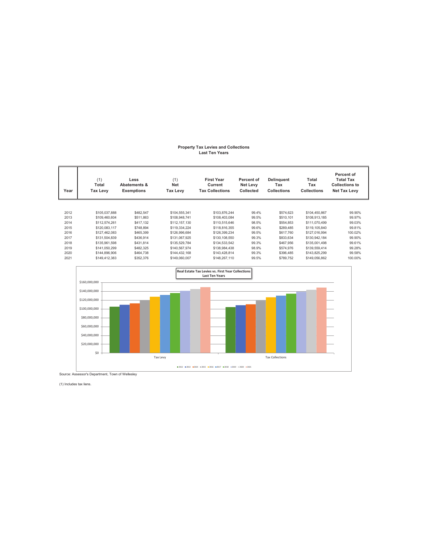# **Property Tax Levies and Collections Last Ten Years**

| Year | (1)<br>Total<br><b>Tax Levy</b> | Less<br><b>Abatements &amp;</b><br><b>Exemptions</b> | (1)<br><b>Net</b><br>Tax Levy | <b>First Year</b><br>Current<br><b>Tax Collections</b> | Percent of<br>Net Levy<br>Collected | Delinquent<br>Tax<br><b>Collections</b> | Total<br>Tax<br><b>Collections</b> | <b>Percent of</b><br><b>Total Tax</b><br><b>Collections to</b><br><b>Net Tax Levy</b> |
|------|---------------------------------|------------------------------------------------------|-------------------------------|--------------------------------------------------------|-------------------------------------|-----------------------------------------|------------------------------------|---------------------------------------------------------------------------------------|
|      |                                 |                                                      |                               |                                                        |                                     |                                         |                                    |                                                                                       |
| 2012 | \$105,037,888                   | \$482.547                                            | \$104,555,341                 | \$103.876.244                                          | 99.4%                               | \$574.623                               | \$104,450,867                      | 99.90%                                                                                |
| 2013 | \$109,460,604                   | \$511.863                                            | \$108,948,741                 | \$108,403,084                                          | 99.5%                               | \$510,101                               | \$108,913,185                      | 99.97%                                                                                |
| 2014 | \$112,574,261                   | \$417,132                                            | \$112,157,130                 | \$110,515,646                                          | 98.5%                               | \$554,853                               | \$111,070,499                      | 99.03%                                                                                |
| 2015 | \$120,083,117                   | \$748,894                                            | \$119,334,224                 | \$118,816,355                                          | 99.6%                               | \$289,485                               | \$119,105,840                      | 99.81%                                                                                |
| 2016 | \$127,462,083                   | \$465,399                                            | \$126,996,684                 | \$126,399,234                                          | 99.5%                               | \$617,760                               | \$127,016,994                      | 100.02%                                                                               |
| 2017 | \$131,504,839                   | \$436,914                                            | \$131,067,925                 | \$130,108,550                                          | 99.3%                               | \$833,634                               | \$130,942,184                      | 99.90%                                                                                |
| 2018 | \$135.961.598                   | \$431,814                                            | \$135,529,784                 | \$134,533,542                                          | 99.3%                               | \$467,956                               | \$135,001,498                      | 99.61%                                                                                |
| 2019 | \$141.050.299                   | \$482,325                                            | \$140,567.974                 | \$138,984,438                                          | 98.9%                               | \$574.976                               | \$139,559,414                      | 99.28%                                                                                |
| 2020 | \$144,896,906                   | \$464.738                                            | \$144,432,168                 | \$143,428,814                                          | 99.3%                               | \$396,485                               | \$143,825,299                      | 99.58%                                                                                |
| 2021 | \$149,412,383                   | \$352,376                                            | \$149,060,007                 | \$148,267,110                                          | 99.5%                               | \$789,752                               | \$149,056,862                      | 100.00%                                                                               |



Source: Assessor's Department, Town of Wellesley

(1) Includes tax liens.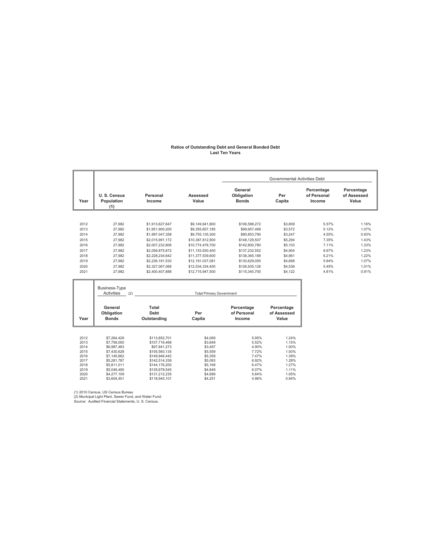#### **Ratios of Outstanding Debt and General Bonded Debt Last Ten Years**

|              |                                       |                                     |                                      |                                       | <b>Governmental Activities Debt</b> |                                     |                                    |
|--------------|---------------------------------------|-------------------------------------|--------------------------------------|---------------------------------------|-------------------------------------|-------------------------------------|------------------------------------|
| Year         | U.S. Census<br>Population<br>(1)      | Personal<br>Income                  | Assessed<br>Value                    | General<br>Obligation<br><b>Bonds</b> | Per<br>Capita                       | Percentage<br>of Personal<br>Income | Percentage<br>of Assessed<br>Value |
|              |                                       |                                     |                                      |                                       |                                     |                                     |                                    |
| 2012         | 27,982                                | \$1,913,627,647                     | \$9,149,641,800                      | \$106,588,272                         | \$3,809                             | 5.57%                               | 1.16%                              |
| 2013         | 27,982                                | \$1,951,900,200                     | \$9,355,607,185                      | \$99,957,468                          | \$3,572                             | 5.12%                               | 1.07%                              |
| 2014         | 27,982                                | \$1,997,047,358                     | \$9,755,135,300                      | \$90,853,790                          | \$3,247                             | 4.55%                               | 0.93%                              |
| 2015         | 27,982                                | \$2,015,991,172                     | \$10,387,812,900                     | \$148,129,507                         | \$5,294                             | 7.35%<br>7.11%                      | 1.43%                              |
| 2016<br>2017 | 27,982<br>27,982                      | \$2,007,232,806<br>\$2,058,875,872  | \$10,774,478,700<br>\$11,153,930,400 | \$142,800,780<br>\$137,232,552        | \$5,103<br>\$4,904                  | 6.67%                               | 1.33%<br>1.23%                     |
| 2018         | 27,982                                | \$2,228,234,642                     | \$11,377,539,600                     | \$138,365,189                         | \$4,961                             | 6.21%                               | 1.22%                              |
| 2019         | 27,982                                | \$2,236,181,530                     | \$12,191,037,081                     | \$130,629,055                         | \$4,668                             | 5.84%                               | 1.07%                              |
| 2020         | 27.982                                | \$2,327,067,066                     | \$12,534,334,400                     | \$126,935,126                         | \$4,536                             | 5.45%                               | 1.01%                              |
| 2021         | 27,982                                | \$2,400,407,888                     | \$12,715,947,500                     | \$115,340,700                         | \$4,122                             | 4.81%                               | 0.91%                              |
|              | Business-Type<br>Activities<br>(2)    |                                     | <b>Total Primary Government</b>      |                                       |                                     |                                     |                                    |
|              |                                       |                                     |                                      |                                       |                                     |                                     |                                    |
| Year         | General<br>Obligation<br><b>Bonds</b> | Total<br><b>Debt</b><br>Outstanding | Per<br>Capita                        | Percentage<br>of Personal<br>Income   | Percentage<br>of Assessed<br>Value  |                                     |                                    |
| 2012<br>2013 | \$7,264,429<br>\$7,759,000            | \$113,852,701<br>\$107,716,468      | \$4.069<br>\$3,849                   | 5.95%<br>5.52%                        | 1.24%<br>1.15%                      |                                     |                                    |
| 2014         | \$6,987,483                           | \$97,841,273                        | \$3,497                              | 4.90%                                 | 1.00%                               |                                     |                                    |
| 2015         | \$7,430,628                           | \$155,560,135                       | \$5,559                              | 7.72%                                 | 1.50%                               |                                     |                                    |
| 2016<br>2017 | \$7,145,662<br>\$5,281,787            | \$149,946,442<br>\$142,514,339      | \$5,359<br>\$5,093                   | 7.47%<br>6.92%                        | 1.39%<br>1.28%                      |                                     |                                    |
| 2018         | \$5,811,011                           | \$144,176,200                       | \$5,169                              | 6.47%                                 | 1.27%                               |                                     |                                    |
| 2019<br>2020 | \$5,049,490<br>\$4,277,109            | \$135,678,545<br>\$131,212,235      | \$4,849<br>\$4,689                   | 6.07%<br>5.64%                        | 1.11%<br>1.05%                      |                                     |                                    |

(1) 2010 Census, US Census Bureau (2) Municipal Light Plant, Sewer Fund, and Water Fund. Source: Audited Financial Statements, U. S. Census.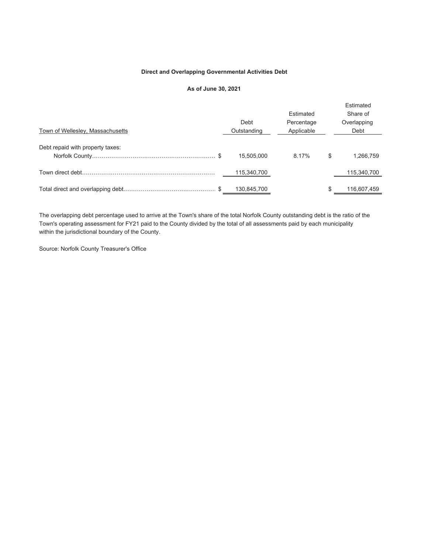#### **Direct and Overlapping Governmental Activities Debt**

### **As of June 30, 2021**

| Town of Wellesley, Massachusetts | Debt<br>Outstanding | Estimated<br>Percentage<br>Applicable | Estimated<br>Share of<br>Overlapping<br>Debt |
|----------------------------------|---------------------|---------------------------------------|----------------------------------------------|
| Debt repaid with property taxes: | 15,505,000          | 8.17%                                 | \$<br>1,266,759                              |
|                                  | 115,340,700         |                                       | 115,340,700                                  |
|                                  | 130,845,700         |                                       | 116,607,459                                  |

The overlapping debt percentage used to arrive at the Town's share of the total Norfolk County outstanding debt is the ratio of the Town's operating assessment for FY21 paid to the County divided by the total of all assessments paid by each municipality within the jurisdictional boundary of the County.

Source: Norfolk County Treasurer's Office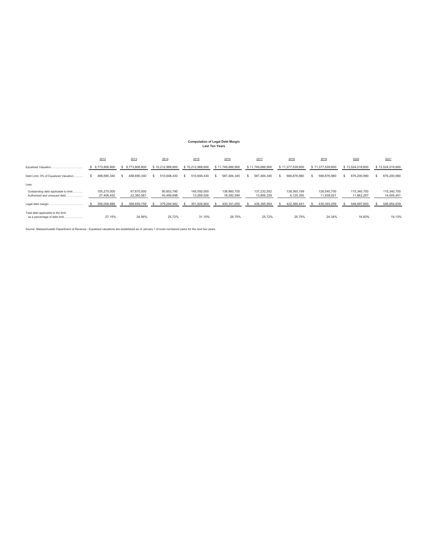### **Computation of Legal Debt Margin Last Ten Years**

|                                                                       | 2012                      | 2013                     | 2014                     | 2015                      | 2016                      | 2017                      | 2018                     | 2019                      | 2020                      | 2021                      |
|-----------------------------------------------------------------------|---------------------------|--------------------------|--------------------------|---------------------------|---------------------------|---------------------------|--------------------------|---------------------------|---------------------------|---------------------------|
| Equalized Valuation.                                                  | \$9,773,806,800           | 9,773,806,800            | \$10,212,968,600         | \$10,212,968,600          | \$11,749,686,900          | \$11,749,686,900          | \$11,377,539,600         | \$11,377,539,600          | \$13,524,019,800          | \$13,524,019,800          |
| Debt Limit -5% of Equalized Valuation                                 | 488.690.340<br>s          | 488,690,340              | 510.648.430              | 510.648.430               | 587.484.345               | 587.484.345               | 568,876,980              | 568.876.980               | 676,200,990               | 676,200,990               |
| Less:                                                                 |                           |                          |                          |                           |                           |                           |                          |                           |                           |                           |
| Outstanding debt applicable to limit<br>Authorized and unissued debt. | 105.275.000<br>27.406.452 | 97.670.000<br>22.360.581 | 90.853.790<br>40.499.698 | 145.550.000<br>13.269.526 | 138,860,700<br>18.282.590 | 137.232.552<br>13.856.229 | 138,365,189<br>8.125.350 | 126.545.700<br>11.938.021 | 115,340,700<br>11.962.297 | 115,340,700<br>14,005,451 |
|                                                                       | 356,008,888               | 368,659,759              | 379,294,942              | 351,828,904               | 430,341,055               | 436,395,564               | 422,386,441              | 430,393,259               | 548,897,993               | 546,854,839               |
| Total debt applicable to the limit<br>as a percentage of debt limit   | 27.15%                    | 24.56%                   | 25.72%                   | 31.10%                    | 26.75%                    | 25.72%                    | 25.75%                   | 24.34%                    | 18.83%                    | 19.13%                    |

Source: Massachusetts Department of Revenue - Equalized valuations are established as of January 1 of even-numbered years for the next two years.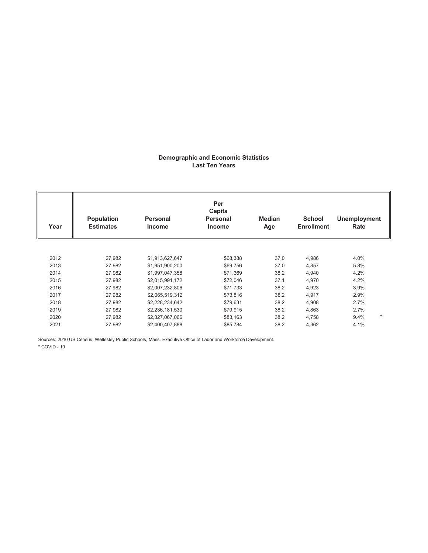### **Demographic and Economic Statistics Last Ten Years**

| Year | Population<br><b>Estimates</b> | <b>Personal</b><br><b>Income</b> | Per<br>Capita<br><b>Personal</b><br><b>Income</b> | <b>Median</b><br>Age | <b>School</b><br><b>Enrollment</b> | <b>Unemployment</b><br>Rate |
|------|--------------------------------|----------------------------------|---------------------------------------------------|----------------------|------------------------------------|-----------------------------|
|      |                                |                                  |                                                   |                      |                                    |                             |
| 2012 | 27,982                         | \$1,913,627,647                  | \$68,388                                          | 37.0                 | 4,986                              | 4.0%                        |
| 2013 | 27,982                         | \$1,951,900,200                  | \$69,756                                          | 37.0                 | 4,857                              | 5.8%                        |
| 2014 | 27,982                         | \$1,997,047,358                  | \$71,369                                          | 38.2                 | 4,940                              | 4.2%                        |
| 2015 | 27,982                         | \$2,015,991,172                  | \$72,046                                          | 37.1                 | 4,970                              | 4.2%                        |
| 2016 | 27,982                         | \$2,007,232,806                  | \$71,733                                          | 38.2                 | 4,923                              | 3.9%                        |
| 2017 | 27,982                         | \$2,065,519,312                  | \$73,816                                          | 38.2                 | 4,917                              | 2.9%                        |
| 2018 | 27,982                         | \$2,228,234,642                  | \$79,631                                          | 38.2                 | 4,908                              | 2.7%                        |
| 2019 | 27,982                         | \$2,236,181,530                  | \$79,915                                          | 38.2                 | 4,863                              | 2.7%                        |
| 2020 | 27,982                         | \$2,327,067,066                  | \$83,163                                          | 38.2                 | 4,758                              | $\star$<br>9.4%             |
| 2021 | 27,982                         | \$2,400,407,888                  | \$85,784                                          | 38.2                 | 4,362                              | 4.1%                        |

Sources: 2010 US Census, Wellesley Public Schools, Mass. Executive Office of Labor and Workforce Development.

\* COVID - 19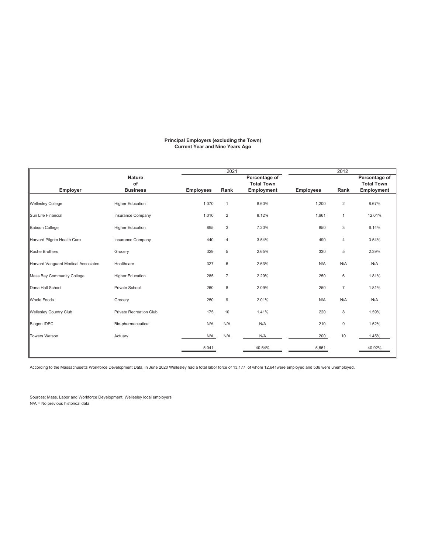#### **Principal Employers (excluding the Town) Current Year and Nine Years Ago**

|                                     |                                |                  | 2021           |                   |                  | 2012           |                   |
|-------------------------------------|--------------------------------|------------------|----------------|-------------------|------------------|----------------|-------------------|
|                                     | <b>Nature</b>                  |                  |                | Percentage of     |                  |                | Percentage of     |
|                                     | of                             |                  |                | <b>Total Town</b> |                  |                | <b>Total Town</b> |
| <b>Employer</b>                     | <b>Business</b>                | <b>Employees</b> | Rank           | Employment        | <b>Employees</b> | Rank           | Employment        |
| <b>Wellesley College</b>            | <b>Higher Education</b>        | 1,070            | $\mathbf 1$    | 8.60%             | 1,200            | $\overline{2}$ | 8.67%             |
| Sun Life Financial                  | Insurance Company              | 1,010            | $\overline{2}$ | 8.12%             | 1,661            | $\mathbf{1}$   | 12.01%            |
| <b>Babson College</b>               | <b>Higher Education</b>        | 895              | 3              | 7.20%             | 850              | 3              | 6.14%             |
| Harvard Pilgrim Health Care         | Insurance Company              | 440              | 4              | 3.54%             | 490              | $\overline{4}$ | 3.54%             |
| Roche Brothers                      | Grocery                        | 329              | 5              | 2.65%             | 330              | 5              | 2.39%             |
| Harvard Vanguard Medical Associates | Healthcare                     | 327              | 6              | 2.63%             | N/A              | N/A            | N/A               |
| Mass Bay Community College          | <b>Higher Education</b>        | 285              | 7              | 2.29%             | 250              | 6              | 1.81%             |
| Dana Hall School                    | Private School                 | 260              | 8              | 2.09%             | 250              | $\overline{7}$ | 1.81%             |
| <b>Whole Foods</b>                  | Grocery                        | 250              | 9              | 2.01%             | N/A              | N/A            | N/A               |
| <b>Wellesley Country Club</b>       | <b>Private Recreation Club</b> | 175              | 10             | 1.41%             | 220              | 8              | 1.59%             |
| <b>Biogen IDEC</b>                  | Bio-pharmaceutical             | N/A              | N/A            | N/A               | 210              | 9              | 1.52%             |
| Towers Watson                       | Actuary                        | N/A              | N/A            | N/A               | 200              | 10             | 1.45%             |
|                                     |                                | 5,041            |                | 40.54%            | 5,661            |                | 40.92%            |

According to the Massachusetts Workforce Development Data, in June 2020 Wellesley had a total labor force of 13,177, of whom 12,641were employed and 536 were unemployed.

Sources: Mass. Labor and Workforce Development, Wellesley local employers N/A = No previous historical data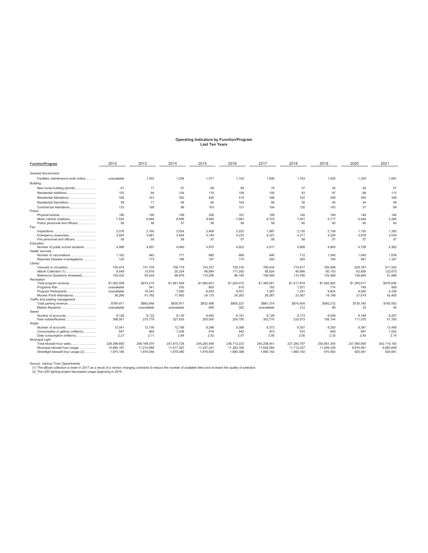## **Operating Indicators by Function/Program Last Ten Years**

| <b>Function/Program</b>                                  | 2012        | 2013        | 2014        | 2015        | 2016        | 2017        | 2018        | 2019        | 2020        | 2021        |
|----------------------------------------------------------|-------------|-------------|-------------|-------------|-------------|-------------|-------------|-------------|-------------|-------------|
| <b>General Government</b>                                |             |             |             |             |             |             |             |             |             |             |
| Facilities maintenance work orders                       | unavailable | 1,353       | 1,254       | 1.371       | 1.102       | 1,006       | 1.763       | 1,525       | 1,329       | 1.081       |
| Building                                                 |             |             |             |             |             |             |             |             |             |             |
| New home building permits                                | 61          | 71          | 67          | 69          | 69          | 79          | 37          | 45          | 49          | 51          |
| Residential Additions                                    | 103         | 84          | 104         | 119         | 108         | 100         | 83          | 97          | 68          | 113         |
|                                                          |             |             |             |             |             |             |             |             |             |             |
| Residential Alterations                                  | 326         | 331         | 352         | 425         | 419         | 348         | 332         | 348         | 300         | 349         |
| Residential Demolition                                   | 59          | 71          | 64          | 65          | 104         | 89          | 36          | 45          | 44          | 49          |
| Commercial Alterations                                   | 133         | 189         | 96          | 103         | 121         | 104         | 120         | 143         | 57          | 69          |
| Police                                                   |             |             |             |             |             |             |             |             |             |             |
|                                                          | 190         | 190         | 199         | 206         | 167         | 169         | 140         | 189         | 146         | 146         |
| Motor vehicle violations                                 | 7.524<br>56 | 6.984<br>56 | 8.596<br>57 | 8.460       | 7.681       | 6.723       | 7.041<br>60 | 5.717<br>60 | 5.046<br>60 | 2.280<br>60 |
| Police personnel and officers<br>Fire                    |             |             |             | 58          | 58          | 59          |             |             |             |             |
|                                                          | 2.076       | 2.160       | 2.024       | 2.469       | 2.222       | 1.967       | 2.130       | 2.158       | 1.150       | 1.350       |
| Emergency responses                                      | 3.924       | 3.881       | 3.924       | 4.140       | 4.233       | 4.221       | 4.311       | 4,226       | 3.878       | 3,534       |
| Fire personnel and officers                              | 55          | 55          | 58          | 57          | 57          | 58          | 58          | 57          | 57          | 57          |
| Education                                                |             |             |             |             |             |             |             |             |             |             |
| Number of public school students                         | 4.986       | 4.857       | 4.940       | 4.970       | 4,923       | 4.917       | 4.908       | 4.863       | 4.758       | 4.362       |
| <b>Health services</b>                                   |             |             |             |             |             |             |             |             |             |             |
| Number of vaccinations                                   | 1.162       | 942         | 771         | 680         | 669         | 946         | 712         | 1.040       | 1.045       | 1.639       |
| Reported Disease Investigations                          | 120         | 173         | 188         | 197         | 174         | 283         | 283         | 194         | 581         | 1.347       |
| Library                                                  |             |             |             |             |             |             |             |             |             |             |
| Volumes in circulation                                   | 730.474     | 741.704     | 758.179     | 743.337     | 739.316     | 760.434     | 774.617     | 782.598     | 628.787     | 511.552     |
| eBook Collection (1)                                     | 8.649       | 15,816      | 20,334      | 66.894      | 171.292     | 85.824      | 90.966      | 60.153      | 62.856      | 122,673     |
| Reference Questions Answered                             | 102,432     | 93,024      | 96,876      | 110,256     | 86.184      | 106.089     | 110,760     | 133,368     | 126,684     | 51.996      |
| Recreation                                               |             |             |             |             |             |             |             |             |             |             |
| Total program revenue                                    | \$1,002.059 | \$914,214   | \$1,061,929 | \$1,060,831 | \$1,205,072 | \$1,369,561 | \$1,417,819 | \$1,582,803 | \$1,265,017 | \$576,836   |
|                                                          | unavailable | 541         | 530         | 605         | 610         | 702         | 1,021       | 774         | 749         | 569         |
| Program Participants                                     | unavailable | 10.343      | 7.592       | 6.920       | 9.551       | 7.267       | 7.241       | 9.624       | 9.280       | 4.339       |
| Morses Pond Attendance<br>Traffic and parking management | 36,260      | 41,782      | 17,893      | 24,170      | 24,263      | 28,387      | 23,367      | 18,199      | 21,619      | 42,405      |
|                                                          | \$784.911   | \$882.648   | \$835.971   | \$832,488   | \$905.227   | \$881.374   | \$874.404   | \$950.212   | \$730.185   | \$165.953   |
| Meters Repaired                                          | unavailable | unavailable | unavailable | 659         | 302         | unavailable | 212         | 88          | 33          | 45          |
| Sewer                                                    |             |             |             |             |             |             |             |             |             |             |
| Number of accounts                                       | 8.126       | 8.122       | 8.130       | 8.093       | 8.181       | 8.129       | 8.173       | 8.059       | 8.188       | 8.207       |
| Feet rodded/flushed                                      | 398.951     | 275,776     | 327.635     | 293,000     | 254,755     | 303.770     | 233.573     | 158.144     | 111,070     | 51,760      |
| Water                                                    |             |             |             |             |             |             |             |             |             |             |
|                                                          | 12.041      | 12.100      | 12.188      | 8.296       | 8.388       | 8.373       | 8.357       | 8.250       | 8.381       | 13.495      |
| Consumption in gallons (millions)                        | 847         | 864         | 1.036       | 919         | 942         | 973         | 915         | 849         | 897         | 1.002       |
| Daily consumption (millions)                             | 2.21        | 2.11        | 2.84        | 2.52        | 2.57        | 3.00        | 2.50        | 2.33        | 2.45        | 2.74        |
| Municipal Light                                          |             |             |             |             |             |             |             |             |             |             |
| Total kilowatt hour sales                                | 238.399.850 | 248.169.479 | 247.815.724 | 245.245.456 | 236,712,233 | 240.208.941 | 237.285.787 | 250.561.304 | 237.580.900 | 242.118.183 |
| Municipal kilowatt hour usage                            | 10,880,167  | 11,214,680  | 11,617,297  | 11,527,241  | 11,283,168  | 11,626,264  | 11,712,227  | 11,459,336  | 9,875,581   | 9,983,606   |
| Streetlight kilowatt hour usage (2)                      | 1.875.180   | 1.879.056   | 1.879.380   | 1.879.505   | 1.880.308   | 1.880.192   | 1.880.192   | 970.060     | 925.581     | 925.681     |

Source: Various Town Departments<br>(1) The eBook collection is lower in 2017 as a result of a vendor changing contracts to reduce the number of available titles and increase the quality of selection.<br>(2) The LED lighting pro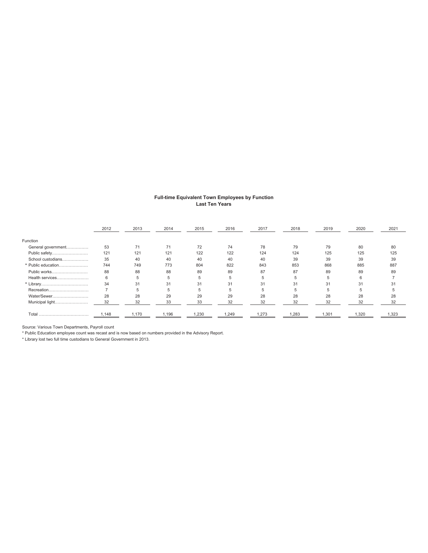#### **Full-time Equivalent Town Employees by Function Last Ten Years**

|                    | 2012 | 2013 | 2014 | 2015 | 2016  | 2017 | 2018 | 2019 | 2020 | 2021 |
|--------------------|------|------|------|------|-------|------|------|------|------|------|
| Function           |      |      |      |      |       |      |      |      |      |      |
| General government | 53   | 71   | 71   | 72   | 74    | 78   | 79   | 79   | 80   | 80   |
| Public safety      | 121  | 121  | 121  | 122  | 122   | 124  | 124  | 125  | 125  | 125  |
| School custodians  | 35   | 40   | 40   | 40   | 40    | 40   | 39   | 39   | 39   | 39   |
| * Public education | 744  | 749  | 773  | 804  | 822   | 843  | 853  | 868  | 885  | 887  |
| Public works       | 88   | 88   | 88   | 89   | 89    | 87   | 87   | 89   | 89   | 89   |
| Health services    | 6    | 5    | 5    | 5    | 5     |      | b    | 5.   | 6    |      |
|                    | 34   | 31   | 31   | 31   | 31    | 31   | 31   | 31   | 31   | 3    |
| Recreation         |      | 5    | 5    | 5    | b     |      | 5    | b    | b.   |      |
| Water/Sewer        | 28   | 28   | 29   | 29   | 29    | 28   | 28   | 28   | 28   | 28   |
| Municipal light    | 32   | 32   | 33   | 33   | 32    | 32   | 32   | 32   | 32   | 32   |
| Total<br>          |      | .170 | .196 | .230 | 1.249 |      | .283 | .301 | .320 |      |

Source: Various Town Departments, Payroll count

\* Public Education employee count was recast and is now based on numbers provided in the Advisory Report.

\* Library lost two full time custodians to General Government in 2013.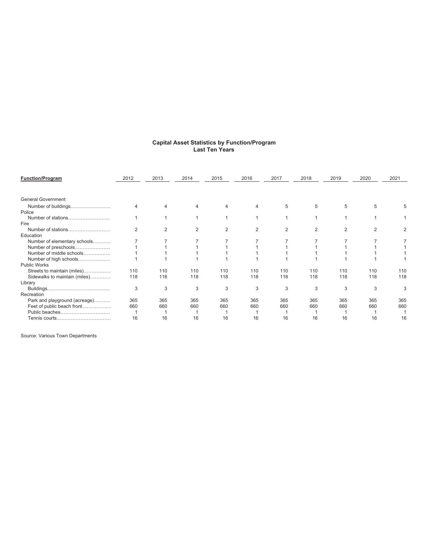| <b>Function/Program</b>       | 2012           | 2013 | 2014 | 2015 | 2016 | 2017           | 2018 | 2019 | 2020           | 2021 |
|-------------------------------|----------------|------|------|------|------|----------------|------|------|----------------|------|
|                               |                |      |      |      |      |                |      |      |                |      |
| <b>General Government</b>     |                |      |      |      |      |                |      |      |                |      |
| Number of buildings<br>Police |                |      | 4    |      |      | 5              | 5    | 5    | 5              |      |
| Number of stations            |                |      |      |      |      |                |      |      |                |      |
| Fire                          |                |      |      |      |      |                |      |      |                |      |
|                               | $\overline{2}$ | 2    | 2    | 2    | 2    | $\overline{2}$ | 2    | 2    | $\overline{2}$ |      |
| Education                     |                |      |      |      |      |                |      |      |                |      |
| Number of elementary schools  |                |      |      |      |      |                |      |      |                |      |
| Number of preschools          |                |      |      |      |      |                |      |      |                |      |
| Number of middle schools      |                |      |      |      |      |                |      |      |                |      |
| Number of high schools        |                |      |      |      |      |                |      |      |                |      |
| <b>Public Works</b>           |                |      |      |      |      |                |      |      |                |      |
| Streets to maintain (miles)   | 110            | 110  | 110  | 110  | 110  | 110            | 110  | 110  | 110            | 110  |
| Sidewalks to maintain (miles) | 118            | 118  | 118  | 118  | 118  | 118            | 118  | 118  | 118            | 118  |
| Library                       |                |      |      |      |      |                |      |      |                |      |
|                               | 3              | 3    | 3    | 3    | 3    | 3              | 3    | 3    | 3              | 3    |
| Recreation                    |                |      |      |      |      |                |      |      |                |      |
| Park and playground (acreage) | 365            | 365  | 365  | 365  | 365  | 365            | 365  | 365  | 365            | 365  |
| Feet of public beach front    | 660            | 660  | 660  | 660  | 660  | 660            | 660  | 660  | 660            | 660  |
| Public beaches                |                |      |      |      |      |                |      |      |                |      |
|                               | 16             | 16   | 16   | 16   | 16   | 16             | 16   | 16   | 16             | 16   |
|                               |                |      |      |      |      |                |      |      |                |      |

#### **Capital Asset Statistics by Function/Program Last Ten Years**

Source: Various Town Departments